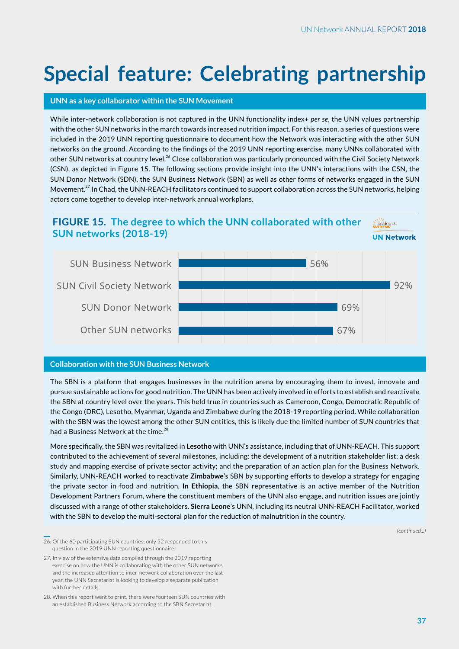# **Special feature: Celebrating partnership**

## **UNN as a key collaborator within the SUN Movement**

While inter-network collaboration is not captured in the UNN functionality index+ *per se*, the UNN values partnership with the other SUN networks in the march towards increased nutrition impact. For this reason, a series of questions were included in the 2019 UNN reporting questionnaire to document how the Network was interacting with the other SUN networks on the ground. According to the findings of the 2019 UNN reporting exercise, many UNNs collaborated with other SUN networks at country level.<sup>26</sup> Close collaboration was particularly pronounced with the Civil Society Network (CSN), as depicted in Figure 15. The following sections provide insight into the UNN's interactions with the CSN, the SUN Donor Network (SDN), the SUN Business Network (SBN) as well as other forms of networks engaged in the SUN Movement.<sup>27</sup> In Chad, the UNN-REACH facilitators continued to support collaboration across the SUN networks, helping actors come together to develop inter-network annual workplans.

#### **FIGURE 15. The degree to which the UNN collaborated with other**  ≧ Scaling∪p<br>Nutreltion **SUN networks (2018-19)**



## **Collaboration with the SUN Business Network**

The SBN is a platform that engages businesses in the nutrition arena by encouraging them to invest, innovate and pursue sustainable actions for good nutrition. The UNN has been actively involved in efforts to establish and reactivate the SBN at country level over the years. This held true in countries such as Cameroon, Congo, Democratic Republic of the Congo (DRC), Lesotho, Myanmar, Uganda and Zimbabwe during the 2018-19 reporting period. While collaboration with the SBN was the lowest among the other SUN entities, this is likely due the limited number of SUN countries that had a Business Network at the time.<sup>28</sup>

More specifically, the SBN was revitalized in **Lesotho** with UNN's assistance, including that of UNN-REACH. This support contributed to the achievement of several milestones, including: the development of a nutrition stakeholder list; a desk study and mapping exercise of private sector activity; and the preparation of an action plan for the Business Network. Similarly, UNN-REACH worked to reactivate **Zimbabwe**'s SBN by supporting efforts to develop a strategy for engaging the private sector in food and nutrition. **In Ethiopia**, the SBN representative is an active member of the Nutrition Development Partners Forum, where the constituent members of the UNN also engage, and nutrition issues are jointly discussed with a range of other stakeholders. **Sierra Leone**'s UNN, including its neutral UNN-REACH Facilitator, worked with the SBN to develop the multi-sectoral plan for the reduction of malnutrition in the country.

*(continued...)*

26. Of the 60 participating SUN countries, only 52 responded to this question in the 2019 UNN reporting questionnaire.

27. In view of the extensive data compiled through the 2019 reporting exercise on how the UNN is collaborating with the other SUN networks and the increased attention to inter-network collaboration over the last year, the UNN Secretariat is looking to develop a separate publication with further details.

28. When this report went to print, there were fourteen SUN countries with an established Business Network according to the SBN Secretariat.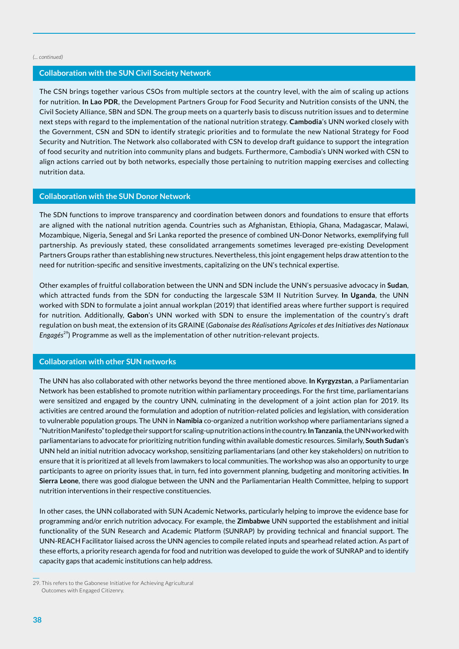#### *(... continued)*

#### **Collaboration with the SUN Civil Society Network**

The CSN brings together various CSOs from multiple sectors at the country level, with the aim of scaling up actions for nutrition. **In Lao PDR**, the Development Partners Group for Food Security and Nutrition consists of the UNN, the Civil Society Alliance, SBN and SDN. The group meets on a quarterly basis to discuss nutrition issues and to determine next steps with regard to the implementation of the national nutrition strategy. **Cambodia**'s UNN worked closely with the Government, CSN and SDN to identify strategic priorities and to formulate the new National Strategy for Food Security and Nutrition. The Network also collaborated with CSN to develop draft guidance to support the integration of food security and nutrition into community plans and budgets. Furthermore, Cambodia's UNN worked with CSN to align actions carried out by both networks, especially those pertaining to nutrition mapping exercises and collecting nutrition data.

#### **Collaboration with the SUN Donor Network**

The SDN functions to improve transparency and coordination between donors and foundations to ensure that efforts are aligned with the national nutrition agenda. Countries such as Afghanistan, Ethiopia, Ghana, Madagascar, Malawi, Mozambique, Nigeria, Senegal and Sri Lanka reported the presence of combined UN-Donor Networks, exemplifying full partnership. As previously stated, these consolidated arrangements sometimes leveraged pre-existing Development Partners Groups rather than establishing new structures. Nevertheless, this joint engagement helps draw attention to the need for nutrition-specific and sensitive investments, capitalizing on the UN's technical expertise.

Other examples of fruitful collaboration between the UNN and SDN include the UNN's persuasive advocacy in **Sudan**, which attracted funds from the SDN for conducting the largescale S3M II Nutrition Survey. **In Uganda**, the UNN worked with SDN to formulate a joint annual workplan (2019) that identified areas where further support is required for nutrition. Additionally, **Gabon**'s UNN worked with SDN to ensure the implementation of the country's draft regulation on bush meat, the extension of its GRAINE (*Gabonaise des Réalisations Agricoles et des Initiatives des Nationaux Engagés*29) Programme as well as the implementation of other nutrition-relevant projects.

#### **Collaboration with other SUN networks**

The UNN has also collaborated with other networks beyond the three mentioned above. **In Kyrgyzstan**, a Parliamentarian Network has been established to promote nutrition within parliamentary proceedings. For the first time, parliamentarians were sensitized and engaged by the country UNN, culminating in the development of a joint action plan for 2019. Its activities are centred around the formulation and adoption of nutrition-related policies and legislation, with consideration to vulnerable population groups. The UNN in **Namibia** co-organized a nutrition workshop where parliamentarians signed a "Nutrition Manifesto" to pledge their support for scaling-up nutrition actions in the country. **In Tanzania**, the UNN worked with parliamentarians to advocate for prioritizing nutrition funding within available domestic resources. Similarly, **South Sudan**'s UNN held an initial nutrition advocacy workshop, sensitizing parliamentarians (and other key stakeholders) on nutrition to ensure that it is prioritized at all levels from lawmakers to local communities. The workshop was also an opportunity to urge participants to agree on priority issues that, in turn, fed into government planning, budgeting and monitoring activities. **In Sierra Leone**, there was good dialogue between the UNN and the Parliamentarian Health Committee, helping to support nutrition interventions in their respective constituencies.

In other cases, the UNN collaborated with SUN Academic Networks, particularly helping to improve the evidence base for programming and/or enrich nutrition advocacy. For example, the **Zimbabwe** UNN supported the establishment and initial functionality of the SUN Research and Academic Platform (SUNRAP) by providing technical and financial support. The UNN-REACH Facilitator liaised across the UNN agencies to compile related inputs and spearhead related action. As part of these efforts, a priority research agenda for food and nutrition was developed to guide the work of SUNRAP and to identify capacity gaps that academic institutions can help address.

<sup>29.</sup> This refers to the Gabonese Initiative for Achieving Agricultural Outcomes with Engaged Citizenry.